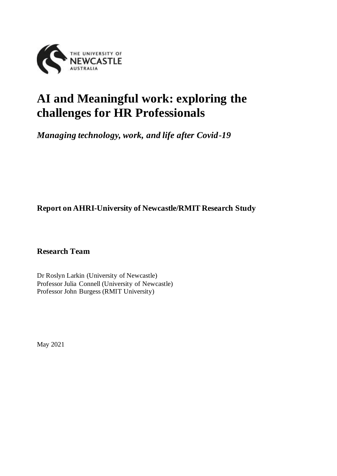

# **AI and Meaningful work: exploring the challenges for HR Professionals**

*Managing technology, work, and life after Covid-19*

**Report on AHRI-University of Newcastle/RMIT Research Study**

**Research Team** 

Dr Roslyn Larkin (University of Newcastle) Professor Julia Connell (University of Newcastle) Professor John Burgess (RMIT University)

May 2021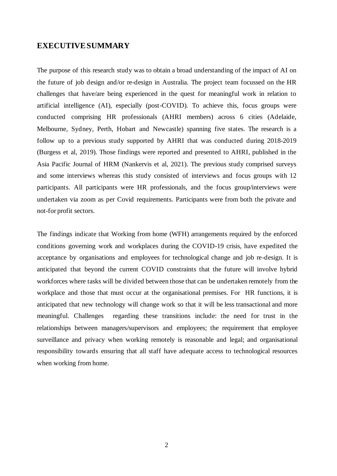#### **EXECUTIVE SUMMARY**

The purpose of this research study was to obtain a broad understanding of the impact of AI on the future of job design and/or re-design in Australia. The project team focussed on the HR challenges that have/are being experienced in the quest for meaningful work in relation to artificial intelligence (AI), especially (post-COVID). To achieve this, focus groups were conducted comprising HR professionals (AHRI members) across 6 cities (Adelaide, Melbourne, Sydney, Perth, Hobart and Newcastle) spanning five states. The research is a follow up to a previous study supported by AHRI that was conducted during 2018-2019 (Burgess et al, 2019). Those findings were reported and presented to AHRI, published in the Asia Pacific Journal of HRM (Nankervis et al, 2021). The previous study comprised surveys and some interviews whereas this study consisted of interviews and focus groups with 12 participants. All participants were HR professionals, and the focus group/interviews were undertaken via zoom as per Covid requirements. Participants were from both the private and not-for profit sectors.

The findings indicate that Working from home (WFH) arrangements required by the enforced conditions governing work and workplaces during the COVID-19 crisis, have expedited the acceptance by organisations and employees for technological change and job re-design. It is anticipated that beyond the current COVID constraints that the future will involve hybrid workforces where tasks will be divided between those that can be undertaken remotely from the workplace and those that must occur at the organisational premises. For HR functions, it is anticipated that new technology will change work so that it will be less transactional and more meaningful. Challenges regarding these transitions include: the need for trust in the relationships between managers/supervisors and employees; the requirement that employee surveillance and privacy when working remotely is reasonable and legal; and organisational responsibility towards ensuring that all staff have adequate access to technological resources when working from home.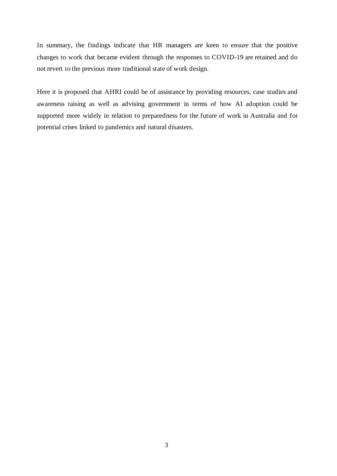In summary, the findings indicate that HR managers are keen to ensure that the positive changes to work that became evident through the responses to COVID-19 are retained and do not revert to the previous more traditional state of work design.

<span id="page-2-0"></span>Here it is proposed that AHRI could be of assistance by providing resources, case studies and awareness raising as well as advising government in terms of how AI adoption could be supported more widely in relation to preparedness for the future of work in Australia and for potential crises linked to pandemics and natural disasters.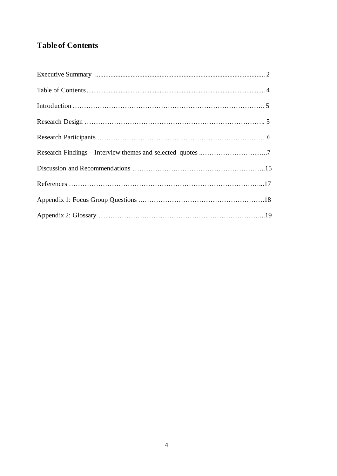# **Table of Contents**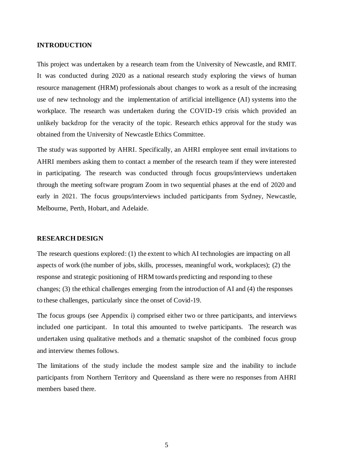#### **INTRODUCTION**

This project was undertaken by a research team from the University of Newcastle, and RMIT. It was conducted during 2020 as a national research study exploring the views of human resource management (HRM) professionals about changes to work as a result of the increasing use of new technology and the implementation of artificial intelligence (AI) systems into the workplace. The research was undertaken during the COVID-19 crisis which provided an unlikely backdrop for the veracity of the topic. Research ethics approval for the study was obtained from the University of Newcastle Ethics Committee.

The study was supported by AHRI. Specifically, an AHRI employee sent email invitations to AHRI members asking them to contact a member of the research team if they were interested in participating. The research was conducted through focus groups/interviews undertaken through the meeting software program Zoom in two sequential phases at the end of 2020 and early in 2021. The focus groups/interviews included participants from Sydney, Newcastle, Melbourne, Perth, Hobart, and Adelaide.

#### **RESEARCH DESIGN**

The research questions explored: (1) the extent to which AI technologies are impacting on all aspects of work (the number of jobs, skills, processes, meaningful work, workplaces); (2) the response and strategic positioning of HRM towards predicting and responding to these changes; (3) the ethical challenges emerging from the introduction of AI and (4) the responses to these challenges, particularly since the onset of Covid-19.

The focus groups (see Appendix i) comprised either two or three participants, and interviews included one participant. In total this amounted to twelve participants. The research was undertaken using qualitative methods and a thematic snapshot of the combined focus group and interview themes follows.

The limitations of the study include the modest sample size and the inability to include participants from Northern Territory and Queensland as there were no responses from AHRI members based there.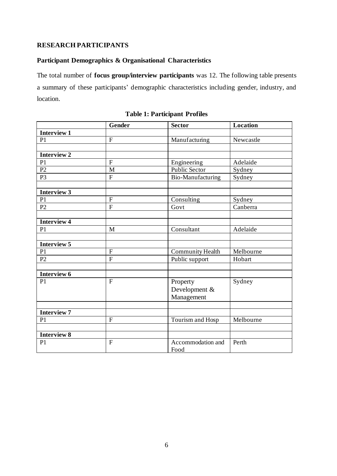#### **RESEARCH PARTICIPANTS**

# **Participant Demographics & Organisational Characteristics**

The total number of **focus group/interview participants** was 12. The following table presents a summary of these participants' demographic characteristics including gender, industry, and location.

|                    | $\overline{G}$ ender | <b>Sector</b>           | Location  |
|--------------------|----------------------|-------------------------|-----------|
| <b>Interview 1</b> |                      |                         |           |
| P1                 | ${\bf F}$            | Manufacturing           | Newcastle |
|                    |                      |                         |           |
| <b>Interview 2</b> |                      |                         |           |
| P <sub>1</sub>     | $\mathbf{F}$         | Engineering             | Adelaide  |
| $\overline{P2}$    | M                    | <b>Public Sector</b>    | Sydney    |
| P <sub>3</sub>     | $\overline{F}$       | Bio-Manufacturing       | Sydney    |
|                    |                      |                         |           |
| <b>Interview 3</b> |                      |                         |           |
| P <sub>1</sub>     | $\mathbf F$          | Consulting              | Sydney    |
| P2                 | $\overline{F}$       | Govt                    | Canberra  |
|                    |                      |                         |           |
| <b>Interview 4</b> |                      |                         |           |
| P <sub>1</sub>     | M                    | Consultant              | Adelaide  |
|                    |                      |                         |           |
| <b>Interview 5</b> |                      |                         |           |
| P1                 | $\overline{F}$       | <b>Community Health</b> | Melbourne |
| P2                 | $\overline{F}$       | Public support          | Hobart    |
|                    |                      |                         |           |
| Interview 6        |                      |                         |           |
| P1                 | $\mathbf F$          | Property                | Sydney    |
|                    |                      | Development &           |           |
|                    |                      | Management              |           |
|                    |                      |                         |           |
| <b>Interview 7</b> |                      |                         |           |
| P <sub>1</sub>     | $\mathbf{F}$         | Tourism and Hosp        | Melbourne |
|                    |                      |                         |           |
| <b>Interview 8</b> |                      |                         |           |
| P <sub>1</sub>     | $\overline{F}$       | Accommodation and       | Perth     |
|                    |                      | Food                    |           |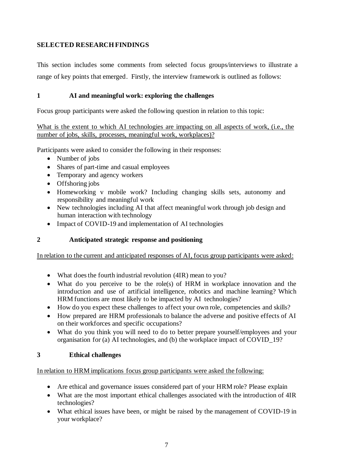# **SELECTED RESEARCH FINDINGS**

This section includes some comments from selected focus groups/interviews to illustrate a range of key points that emerged. Firstly, the interview framework is outlined as follows:

# **1 AI and meaningful work: exploring the challenges**

Focus group participants were asked the following question in relation to this topic:

What is the extent to which AI technologies are impacting on all aspects of work, (i.e., the number of jobs, skills, processes, meaningful work, workplaces)?

Participants were asked to consider the following in their responses:

- Number of jobs
- Shares of part-time and casual employees
- Temporary and agency workers
- Offshoring jobs
- Homeworking v mobile work? Including changing skills sets, autonomy and responsibility and meaningful work
- New technologies including AI that affect meaningful work through job design and human interaction with technology
- Impact of COVID-19 and implementation of AI technologies

# **2 Anticipated strategic response and positioning**

In relation to the current and anticipated responses of AI, focus group participants were asked:

- What does the fourth industrial revolution (4IR) mean to you?
- What do you perceive to be the role(s) of HRM in workplace innovation and the introduction and use of artificial intelligence, robotics and machine learning? Which HRM functions are most likely to be impacted by AI technologies?
- How do you expect these challenges to affect your own role, competencies and skills?
- How prepared are HRM professionals to balance the adverse and positive effects of AI on their workforces and specific occupations?
- What do you think you will need to do to better prepare yourself/employees and your organisation for (a) AI technologies, and (b) the workplace impact of COVID\_19?

# **3 Ethical challenges**

# In relation to HRM implications focus group participants were asked the following:

- Are ethical and governance issues considered part of your HRM role? Please explain
- What are the most important ethical challenges associated with the introduction of 4IR technologies?
- What ethical issues have been, or might be raised by the management of COVID-19 in your workplace?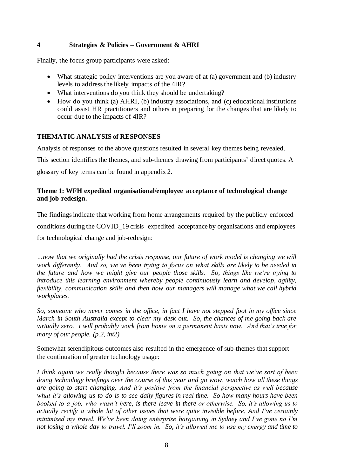# **4 Strategies & Policies – Government & AHRI**

Finally, the focus group participants were asked:

- What strategic policy interventions are you aware of at (a) government and (b) industry levels to address the likely impacts of the 4IR?
- What interventions do you think they should be undertaking?
- How do you think (a) AHRI, (b) industry associations, and (c) educational institutions could assist HR practitioners and others in preparing for the changes that are likely to occur due to the impacts of 4IR?

# **THEMATIC ANALYSIS of RESPONSES**

Analysis of responses to the above questions resulted in several key themes being revealed.

This section identifies the themes, and sub-themes drawing from participants' direct quotes. A

glossary of key terms can be found in appendix 2.

# **Theme 1: WFH expedited organisational/employee acceptance of technological change and job-redesign.**

The findings indicate that working from home arrangements required by the publicly enforced conditions during the COVID\_19 crisis expedited acceptance by organisations and employees for technological change and job-redesign:

*…now that we originally had the crisis response, our future of work model is changing we will work differently. And so, we've been trying to focus on what skills are likely to be needed in the future and how we might give our people those skills. So, things like we're trying to introduce this learning environment whereby people continuously learn and develop, agility, flexibility, communication skills and then how our managers will manage what we call hybrid workplaces.* 

*So, someone who never comes in the office, in fact I have not stepped foot in my office since March in South Australia except to clear my desk out. So, the chances of me going back are virtually zero. I will probably work from home on a permanent basis now. And that's true for many of our people. (p.2, int2)*

Somewhat serendipitous outcomes also resulted in the emergence of sub-themes that support the continuation of greater technology usage:

*I think again we really thought because there was so much going on that we've sort of been doing technology briefings over the course of this year and go wow, watch how all these things are going to start changing. And it's positive from the financial perspective as well because what it's allowing us to do is to see daily figures in real time. So how many hours have been booked to a job, who wasn't here, is there leave in there or otherwise. So, it's allowing us to actually rectify a whole lot of other issues that were quite invisible before. And I've certainly minimised my travel. We've been doing enterprise bargaining in Sydney and I've gone no I'm not losing a whole day to travel, I'll zoom in. So, it's allowed me to use my energy and time to*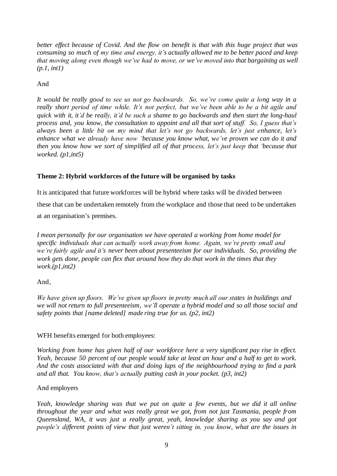*better effect because of Covid. And the flow on benefit is that with this huge project that was consuming so much of my time and energy, it's actually allowed me to be better paced and keep that moving along even though we've had to move, or we've moved into that bargaining as well (p.1, int1)*

#### And

*It would be really good to see us not go backwards. So, we've come quite a long way in a really short period of time while. It's not perfect, but we've been able to be a bit agile and quick with it, it'd be really, it'd be such a shame to go backwards and then start the long-haul process and, you know, the consultation to appoint and all that sort of stuff. So, I guess that's always been a little bit on my mind that let's not go backwards, let's just enhance, let's enhance what we already have now 'because you know what, we've proven we can do it and then you know how we sort of simplified all of that process, let's just keep that 'because that worked. (p1,int5)*

#### **Theme 2: Hybrid workforces of the future will be organised by tasks**

It is anticipated that future workforces will be hybrid where tasks will be divided between these that can be undertaken remotely from the workplace and those that need to be undertaken at an organisation's premises.

*I mean personally for our organisation we have operated a working from home model for specific individuals that can actually work away from home. Again, we're pretty small and we're fairly agile and it's never been about presenteeism for our individuals. So, providing the work gets done, people can flex that around how they do that work in the times that they work.(p1,int2)*

#### And,

*We have given up floors. We've given up floors in pretty much all our states in buildings and we will not return to full presenteeism, we'll operate a hybrid model and so all those social and safety points that [name deleted] made ring true for us. (p2, int2)*

#### WFH benefits emerged for both employees:

*Working from home has given half of our workforce here a very significant pay rise in effect. Yeah, because 50 percent of our people would take at least an hour and a half to get to work. And the costs associated with that and doing laps of the neighbourhood trying to find a park and all that. You know, that's actually putting cash in your pocket. (p3, int2)*

#### And employers

*Yeah, knowledge sharing was that we put on quite a few events, but we did it all online throughout the year and what was really great we got, from not just Tasmania, people from Queensland, WA, it was just a really great, yeah, knowledge sharing as you say and got people's different points of view that just weren't sitting in, you know, what are the issues in*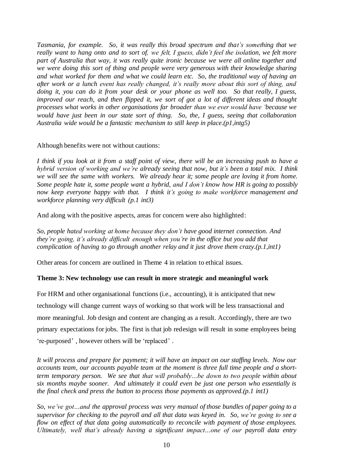*Tasmania, for example. So, it was really this broad spectrum and that's something that we really want to hang onto and to sort of, we felt, I guess, didn't feel the isolation, we felt more part of Australia that way, it was really quite ironic because we were all online together and we were doing this sort of thing and people were very generous with their knowledge sharing and what worked for them and what we could learn etc. So, the traditional way of having an after work or a lunch event has really changed, it's really more about this sort of thing, and doing it, you can do it from your desk or your phone as well too. So that really, I guess, improved our reach, and then flipped it, we sort of got a lot of different ideas and thought processes what works in other organisations far broader than we ever would have 'because we would have just been in our state sort of thing. So, the, I guess, seeing that collaboration Australia wide would be a fantastic mechanism to still keep in place.(p1,intg5)*

#### Although benefits were not without cautions:

*I think if you look at it from a staff point of view, there will be an increasing push to have a hybrid version of working and we're already seeing that now, but it's been a total mix. I think we will see the same with workers. We already hear it; some people are loving it from home. Some people hate it, some people want a hybrid, and I don't know how HR is going to possibly now keep everyone happy with that. I think it's going to make workforce management and workforce planning very difficult (p.1 int3)*

And along with the positive aspects, areas for concern were also highlighted:

*So, people hated working at home because they don't have good internet connection. And they're going, it's already difficult enough when you're in the office but you add that complication of having to go through another relay and it just drove them crazy.(p.1,int1)*

Other areas for concern are outlined in Theme 4 in relation to ethical issues.

#### **Theme 3: New technology use can result in more strategic and meaningful work**

For HRM and other organisational functions (i.e., accounting), it is anticipated that new technology will change current ways of working so that work will be less transactional and more meaningful. Job design and content are changing as a result. Accordingly, there are two primary expectations for jobs. The first is that job redesign will result in some employees being 're-purposed' , however others will be 'replaced' .

*It will process and prepare for payment; it will have an impact on our staffing levels. Now our accounts team, our accounts payable team at the moment is three full time people and a shortterm temporary person. We see that that will probably…be down to two people within about six months maybe sooner. And ultimately it could even be just one person who essentially is the final check and press the button to process those payments as approved.(p.1 int1)* 

*So, we've got…and the approval process was very manual of those bundles of paper going to a supervisor for checking to the payroll and all that data was keyed in. So, we're going to see a flow on effect of that data going automatically to reconcile with payment of those employees. Ultimately, well that's already having a significant impact…one of our payroll data entry*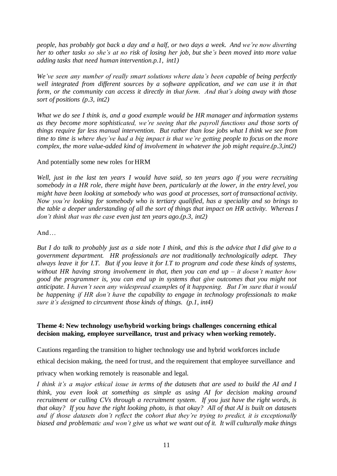*people, has probably got back a day and a half, or two days a week. And we're now diverting her to other tasks so she's at no risk of losing her job, but she's been moved into more value adding tasks that need human intervention.p.1, int1)*

*We've seen any number of really smart solutions where data's been capable of being perfectly well integrated from different sources by a software application, and we can use it in that form, or the community can access it directly in that form. And that's doing away with those sort of positions (p.3, int2)*

*What we do see I think is, and a good example would be HR manager and information systems as they become more sophisticated, we're seeing that the payroll functions and those sorts of things require far less manual intervention. But rather than lose jobs what I think we see from time to time is where they've had a big impact is that we're getting people to focus on the more complex, the more value-added kind of involvement in whatever the job might require.(p.3,int2)*

#### And potentially some new roles for HRM

*Well, just in the last ten years I would have said, so ten years ago if you were recruiting somebody in a HR role, there might have been, particularly at the lower, in the entry level, you might have been looking at somebody who was good at processes, sort of transactional activity. Now you're looking for somebody who is tertiary qualified, has a speciality and so brings to the table a deeper understanding of all the sort of things that impact on HR activity. Whereas I don't think that was the case even just ten years ago.(p.3, int2)*

#### And…

*But I do talk to probably just as a side note I think, and this is the advice that I did give to a government department. HR professionals are not traditionally technologically adept. They always leave it for I.T. But if you leave it for I.T to program and code these kinds of systems, without HR having strong involvement in that, then you can end up – it doesn't matter how good the programmer is, you can end up in systems that give outcomes that you might not anticipate. I haven't seen any widespread examples of it happening. But I'm sure that it would be happening if HR don't have the capability to engage in technology professionals to make sure it's designed to circumvent those kinds of things. (p.1, int4)*

#### **Theme 4: New technology use/hybrid working brings challenges concerning ethical decision making, employee surveillance, trust and privacy when working remotely.**

Cautions regarding the transition to higher technology use and hybrid workforces include

ethical decision making, the need for trust, and the requirement that employee surveillance and

privacy when working remotely is reasonable and legal.

*I think it's a major ethical issue in terms of the datasets that are used to build the AI and I think, you even look at something as simple as using AI for decision making around recruitment or culling CVs through a recruitment system. If you just have the right words, is that okay? If you have the right looking photo, is that okay? All of that AI is built on datasets and if those datasets don't reflect the cohort that they're trying to predict, it is exceptionally biased and problematic and won't give us what we want out of it. It will culturally make things*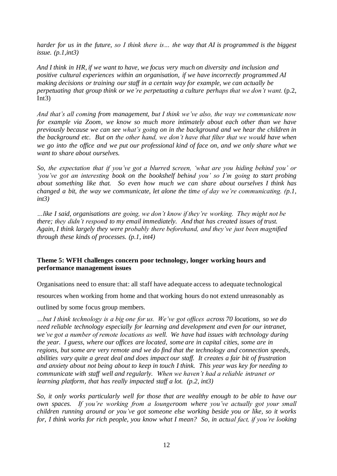*harder for us in the future, so I think there is… the way that AI is programmed is the biggest issue. (p.1,int3)*

*And I think in HR, if we want to have, we focus very much on diversity and inclusion and positive cultural experiences within an organisation, if we have incorrectly programmed AI making decisions or training our staff in a certain way for example, we can actually be perpetuating that group think or we're perpetuating a culture perhaps that we don't want.* (p.2,  $Int3)$ 

*And that's all coming from management, but I think we've also, the way we communicate now for example via Zoom, we know so much more intimately about each other than we have previously because we can see what's going on in the background and we hear the children in the background etc. But on the other hand, we don't have that filter that we would have when we go into the office and we put our professional kind of face on, and we only share what we want to share about ourselves.*

*So, the expectation that if you've got a blurred screen, 'what are you hiding behind you' or 'you've got an interesting book on the bookshelf behind you' so I'm going to start probing about something like that. So even how much we can share about ourselves I think has changed a bit, the way we communicate, let alone the time of day we're communicating. (p.1, int3)*

*…like I said, organisations are going, we don't know if they're working. They might not be there; they didn't respond to my email immediately. And that has created issues of trust. Again, I think largely they were probably there beforehand, and they've just been magnified through these kinds of processes. (p.1, int4)*

#### **Theme 5: WFH challenges concern poor technology, longer working hours and performance management issues**

Organisations need to ensure that: all staff have adequate access to adequate technological

resources when working from home and that working hours do not extend unreasonably as

outlined by some focus group members.

*…but I think technology is a big one for us. We've got offices across 70 locations, so we do need reliable technology especially for learning and development and even for our intranet, we've got a number of remote locations as well. We have had issues with technology during the year. I guess, where our offices are located, some are in capital cities, some are in regions, but some are very remote and we do find that the technology and connection speeds, abilities vary quite a great deal and does impact our staff. It creates a fair bit of frustration and anxiety about not being about to keep in touch I think. This year was key for needing to communicate with staff well and regularly. When we haven't had a reliable intranet or learning platform, that has really impacted staff a lot. (p.2, int3)*

*So, it only works particularly well for those that are wealthy enough to be able to have our own spaces. If you're working from a loungeroom where you've actually got your small children running around or you've got someone else working beside you or like, so it works for, I think works for rich people, you know what I mean? So, in actual fact, if you're looking*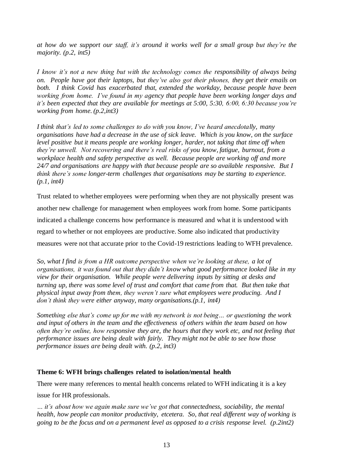*at how do we support our staff, it's around it works well for a small group but they're the majority. (p.2, int5)*

*I know it's not a new thing but with the technology comes the responsibility of always being on. People have got their laptops, but they've also got their phones, they get their emails on both. I think Covid has exacerbated that, extended the workday, because people have been working from home. I've found in my agency that people have been working longer days and it's been expected that they are available for meetings at 5:00, 5:30, 6:00, 6:30 because you're working from home. (p.2,int3)*

*I think that's led to some challenges to do with you know, I've heard anecdotally, many organisations have had a decrease in the use of sick leave. Which is you know, on the surface level positive but it means people are working longer, harder, not taking that time off when they're unwell. Not recovering and there's real risks of you know, fatigue, burnout, from a workplace health and safety perspective as well. Because people are working off and more 24/7 and organisations are happy with that because people are so available responsive. But I think there's some longer-term challenges that organisations may be starting to experience. (p.1, int4)*

Trust related to whether employees were performing when they are not physically present was another new challenge for management when employees work from home. Some participants indicated a challenge concerns how performance is measured and what it is understood with regard to whether or not employees are productive. Some also indicated that productivity measures were not that accurate prior to the Covid-19 restrictions leading to WFH prevalence.

*So, what I find is from a HR outcome perspective when we're looking at these, a lot of organisations, it was found out that they didn't know what good performance looked like in my view for their organisation. While people were delivering inputs by sitting at desks and turning up, there was some level of trust and comfort that came from that. But then take that physical input away from them, they weren't sure what employees were producing. And I don't think they were either anyway, many organisations.(p.1, int4)*

*Something else that's come up for me with my network is not being… or questioning the work and input of others in the team and the effectiveness of others within the team based on how often they're online, how responsive they are, the hours that they work etc, and not feeling that performance issues are being dealt with fairly. They might not be able to see how those performance issues are being dealt with. (p.2, int3)*

#### **Theme 6: WFH brings challenges related to isolation/mental health**

There were many references to mental health concerns related to WFH indicating it is a key

issue for HR professionals.

*… it's about how we again make sure we've got that connectedness, sociability, the mental health, how people can monitor productivity, etcetera. So, that real different way of working is going to be the focus and on a permanent level as opposed to a crisis response level. (p.2int2)*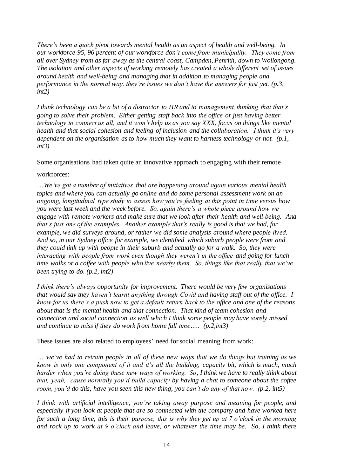*There's been a quick pivot towards mental health as an aspect of health and well-being. In our workforce 95, 96 percent of our workforce don't come from municipality. They come from all over Sydney from as far away as the central coast, Campden, Penrith, down to Wollongong. The isolation and other aspects of working remotely has created a whole different set of issues around health and well-being and managing that in addition to managing people and performance in the normal way, they're issues we don't have the answers for just yet. (p.3, int2)*

*I think technology can be a bit of a distractor to HR and to management, thinking that that's going to solve their problem. Either getting staff back into the office or just having better technology to connect us all, and it won't help us as you say XXX, focus on things like mental health and that social cohesion and feeling of inclusion and the collaboration. I think it's very dependent on the organisation as to how much they want to harness technology or not. (p.1, int3)*

#### Some organisations had taken quite an innovative approach to engaging with their remote

#### workforces:

…*We've got a number of initiatives that are happening around again various mental health topics and where you can actually go online and do some personal assessment work on an ongoing, longitudinal type study to assess how you're feeling at this point in time versus how you were last week and the week before. So, again there's a whole piece around how we engage with remote workers and make sure that we look after their health and well-being. And that's just one of the examples. Another example that's really is good is that we had, for example, we did surveys around, or rather we did some analysis around where people lived. And so, in our Sydney office for example, we identified which suburb people were from and they could link up with people in their suburb and actually go for a walk. So, they were interacting with people from work even though they weren't in the office and going for lunch time walks or a coffee with people who live nearby them. So, things like that really that we've been trying to do. (p.2, int2)*

*I think there's always opportunity for improvement. There would be very few organisations that would say they haven't learnt anything through Covid and having staff out of the office. I know for us there's a push now to get a default return back to the office and one of the reasons about that is the mental health and that connection. That kind of team cohesion and connection and social connection as well which I think some people may have sorely missed and continue to miss if they do work from home full time….. (p.2,int3)*

#### These issues are also related to employees' need for social meaning from work:

… *we've had to retrain people in all of these new ways that we do things but training as we know is only one component of it and it's all the building, capacity bit, which is much, much harder when you're doing these new ways of working. So, I think we have to really think about that, yeah, 'cause normally you'd build capacity by having a chat to someone about the coffee room, you'd do this, have you seen this new thing, you can't do any of that now. (p.2, int5)*

*I think with artificial intelligence, you're taking away purpose and meaning for people, and especially if you look at people that are so connected with the company and have worked here for such a long time, this is their purpose, this is why they get up at 7 o'clock in the morning and rock up to work at 9 o'clock and leave, or whatever the time may be. So, I think there*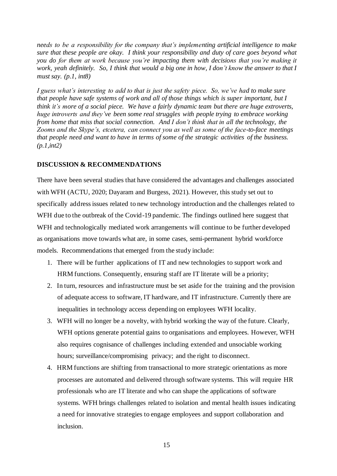*needs to be a responsibility for the company that's implementing artificial intelligence to make sure that these people are okay. I think your responsibility and duty of care goes beyond what you do for them at work because you're impacting them with decisions that you're making it work, yeah definitely. So, I think that would a big one in how, I don't know the answer to that I must say. (p.1, int8)*

*I guess what's interesting to add to that is just the safety piece. So, we've had to make sure that people have safe systems of work and all of those things which is super important, but I think it's more of a social piece. We have a fairly dynamic team but there are huge extroverts, huge introverts and they've been some real struggles with people trying to embrace working from home that miss that social connection. And I don't think that in all the technology, the Zooms and the Skype's, etcetera, can connect you as well as some of the face-to-face meetings that people need and want to have in terms of some of the strategic activities of the business. (p.1,int2)*

#### **DISCUSSION & RECOMMENDATIONS**

There have been several studies that have considered the advantages and challenges associated with WFH (ACTU, 2020; Dayaram and Burgess, 2021). However, this study set out to specifically address issues related to new technology introduction and the challenges related to WFH due to the outbreak of the Covid-19 pandemic. The findings outlined here suggest that WFH and technologically mediated work arrangements will continue to be further developed as organisations move towards what are, in some cases, semi-permanent hybrid workforce models. Recommendations that emerged from the study include:

- 1. There will be further applications of IT and new technologies to support work and HRM functions. Consequently, ensuring staff are IT literate will be a priority;
- 2. In turn, resources and infrastructure must be set aside for the training and the provision of adequate access to software, IT hardware, and IT infrastructure. Currently there are inequalities in technology access depending on employees WFH locality.
- 3. WFH will no longer be a novelty, with hybrid working the way of the future. Clearly, WFH options generate potential gains to organisations and employees. However, WFH also requires cognisance of challenges including extended and unsociable working hours; surveillance/compromising privacy; and the right to disconnect.
- 4. HRM functions are shifting from transactional to more strategic orientations as more processes are automated and delivered through software systems. This will require HR professionals who are IT literate and who can shape the applications of software systems. WFH brings challenges related to isolation and mental health issues indicating a need for innovative strategies to engage employees and support collaboration and inclusion.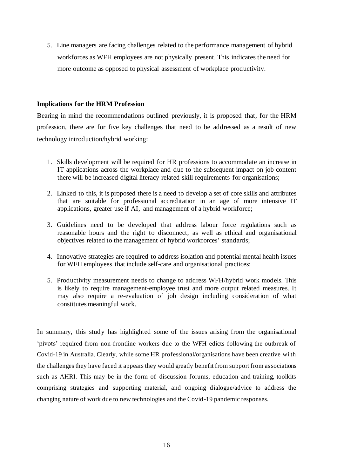5. Line managers are facing challenges related to the performance management of hybrid workforces as WFH employees are not physically present. This indicates the need for more outcome as opposed to physical assessment of workplace productivity.

#### **Implications for the HRM Profession**

Bearing in mind the recommendations outlined previously, it is proposed that, for the HRM profession, there are for five key challenges that need to be addressed as a result of new technology introduction/hybrid working:

- 1. Skills development will be required for HR professions to accommodate an increase in IT applications across the workplace and due to the subsequent impact on job content there will be increased digital literacy related skill requirements for organisations;
- 2. Linked to this, it is proposed there is a need to develop a set of core skills and attributes that are suitable for professional accreditation in an age of more intensive IT applications, greater use if AI, and management of a hybrid workforce;
- 3. Guidelines need to be developed that address labour force regulations such as reasonable hours and the right to disconnect, as well as ethical and organisational objectives related to the management of hybrid workforces' standards;
- 4. Innovative strategies are required to address isolation and potential mental health issues for WFH employees that include self-care and organisational practices;
- 5. Productivity measurement needs to change to address WFH/hybrid work models. This is likely to require management-employee trust and more output related measures. It may also require a re-evaluation of job design including consideration of what constitutes meaningful work.

In summary, this study has highlighted some of the issues arising from the organisational 'pivots' required from non-frontline workers due to the WFH edicts following the outbreak of Covid-19 in Australia. Clearly, while some HR professional/organisations have been creative wi th the challenges they have faced it appears they would greatly benefit from support from associations such as AHRI. This may be in the form of discussion forums, education and training, toolkits comprising strategies and supporting material, and ongoing dialogue/advice to address the changing nature of work due to new technologies and the Covid-19 pandemic responses.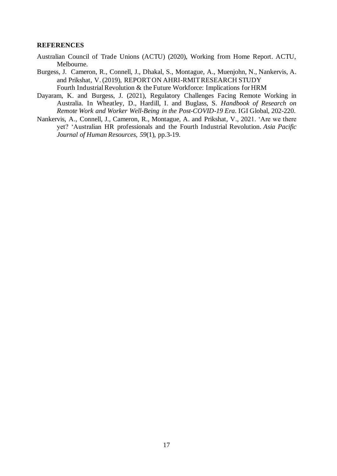#### **REFERENCES**

- Australian Council of Trade Unions (ACTU) (2020), Working from Home Report. ACTU, Melbourne.
- Burgess, J. Cameron, R., Connell, J., Dhakal, S., Montague, A., Muenjohn, N., Nankervis, A. and Prikshat, V. (2019), REPORT ON AHRI-RMIT RESEARCH STUDY Fourth Industrial Revolution & the Future Workforce: Implications for HRM
- Dayaram, K. and Burgess, J. (2021), Regulatory Challenges Facing Remote Working in Australia. In Wheatley, D., Hardill, I. and Buglass, S. *Handbook of Research on Remote Work and Worker Well-Being in the Post-COVID-19 Era*. IGI Global, 202-220.
- Nankervis, A., Connell, J., Cameron, R., Montague, A. and Prikshat, V., 2021. 'Are we there yet? 'Australian HR professionals and the Fourth Industrial Revolution. *Asia Pacific Journal of Human Resources*, *59*(1), pp.3-19.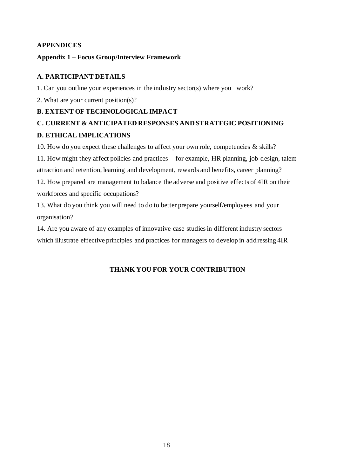# **APPENDICES**

# **Appendix 1 – Focus Group/Interview Framework**

# **A. PARTICIPANT DETAILS**

1. Can you outline your experiences in the industry sector(s) where you work?

2. What are your current position(s)?

# **B. EXTENT OF TECHNOLOGICAL IMPACT**

# **C. CURRENT & ANTICIPATED RESPONSES AND STRATEGIC POSITIONING D. ETHICAL IMPLICATIONS**

10. How do you expect these challenges to affect your own role, competencies & skills? 11. How might they affect policies and practices – for example, HR planning, job design, talent attraction and retention, learning and development, rewards and benefits, career planning?

12. How prepared are management to balance the adverse and positive effects of 4IR on their workforces and specific occupations?

13. What do you think you will need to do to better prepare yourself/employees and your organisation?

14. Are you aware of any examples of innovative case studies in different industry sectors which illustrate effective principles and practices for managers to develop in add ressing 4IR

# **THANK YOU FOR YOUR CONTRIBUTION**